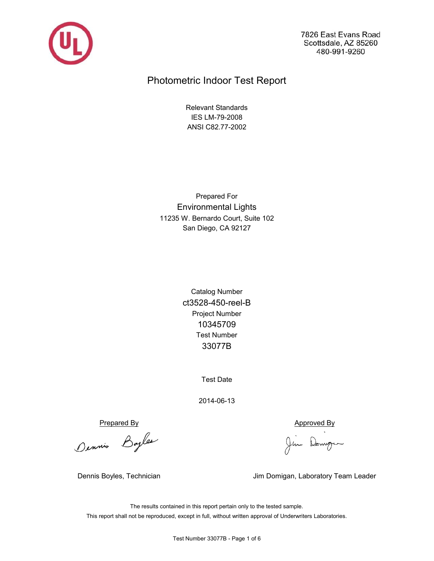

7826 East Evans Road Scottsdale, AZ 85260 480-991-9260

# Photometric Indoor Test Report

ANSI C82.77-2002 IES LM-79-2008 Relevant Standards

San Diego, CA 92127 11235 W. Bernardo Court, Suite 102 Environmental Lights Prepared For

> ct3528-450-reel-B 33077B Test Number Catalog Number Project Number 10345709

> > Test Date

2014-06-13

Prepared By<br>Ounnie Bayles Jim Domgen

Dennis Boyles, Technician Jim Domigan, Laboratory Team Leader

This report shall not be reproduced, except in full, without written approval of Underwriters Laboratories. The results contained in this report pertain only to the tested sample.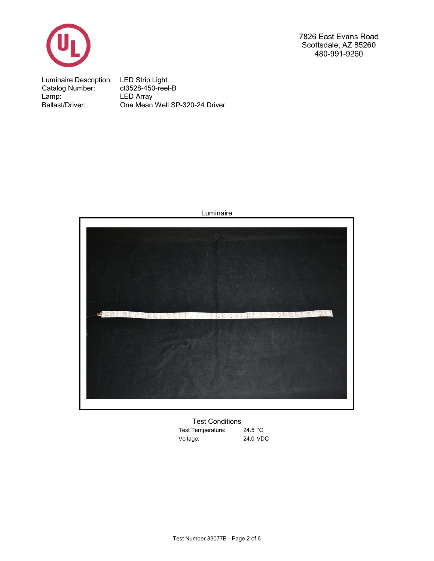

7826 East Evans Road Scottsdale, AZ 85260 480-991-9260

Luminaire Description: LED Strip Light Catalog Number: ct3528-450-reel-B Lamp: One Mean Well SP-320-24 Driver Ballast/Driver: LED Array



Luminaire

24.5 °C Test Temperature: 24.0 VDC Voltage: Test Conditions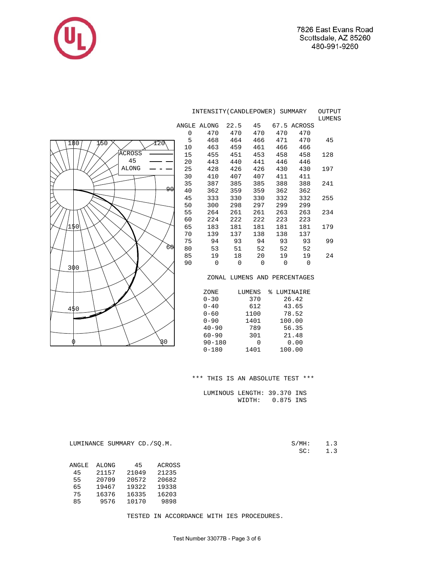

|                    | INTENSITY (CANDLEPOWER) SUMMARY | OUTPUT<br>LUMENS |             |                |             |                              |     |
|--------------------|---------------------------------|------------------|-------------|----------------|-------------|------------------------------|-----|
|                    |                                 | ANGLE ALONG      | 22.5        | 45             |             | 67.5 ACROSS                  |     |
|                    | 0                               | 470              | 470         | 470            | 470         | 470                          |     |
| 1/50<br>Y20<br>180 | 5                               | 468              | 464         | 466            | 471         | 470                          | 45  |
|                    | 10                              | 463              | 459         | 461            | 466         | 466                          |     |
| <b>ACROSS</b>      | 15                              | 455              | 451         | 453            | 458         | 458                          | 128 |
| 45                 | 20                              | 443              | 440         | 441            | 446         | 446                          |     |
| <b>ALONG</b>       | 25                              | 428              | 426         | 426            | 430         | 430                          | 197 |
|                    | 30                              | 410              | 407         | 407            | 411         | 411                          |     |
|                    | 35                              | 387              | 385         | 385            | 388         | 388                          | 241 |
| ۹۵                 | 40                              | 362              | 359         | 359            | 362         | 362                          |     |
|                    | 45                              | 333              | 330         | 330            | 332         | 332                          | 255 |
|                    | 50                              | 300              | 298         | 297            | 299         | 299                          |     |
|                    | 55                              | 264              | 261         | 261            | 263         | 263                          | 234 |
|                    | 60                              | 224              | 222         | 222            | 223         | 223                          |     |
| 150                | 65                              | 183              | 181         | 181            | 181         | 181                          | 179 |
|                    | 70                              | 139              | 137         | 138            | 138         | 137                          |     |
|                    | 75                              | 94               | 93          | 94             | 93          | 93                           | 99  |
| 60                 | 80                              | 53               | 51          | 52             | 52          | 52                           |     |
|                    | 85                              | 19               | 18          | 20             | 19          | 19                           | 24  |
| 300                | 90                              | 0                | $\mathbf 0$ | $\overline{0}$ | $\mathbf 0$ | $\mathbf 0$                  |     |
|                    |                                 |                  |             |                |             | ZONAL LUMENS AND PERCENTAGES |     |
|                    |                                 | ZONE             |             | LUMENS         | % LUMINAIRE |                              |     |
|                    |                                 | $0 - 30$         |             | 370            |             | 26.42                        |     |
| 450                |                                 | $0 - 40$         |             | 612            |             | 43.65                        |     |
|                    |                                 | $0 - 60$         |             | 1100           |             | 78.52                        |     |
|                    |                                 | $0 - 90$         |             | 1401           |             | 100.00                       |     |
|                    |                                 | $40 - 90$        |             | 789            |             | 56.35                        |     |
|                    |                                 | $60 - 90$        |             | 301            |             | 21.48                        |     |
| 30                 |                                 | $90 - 180$       |             | $\mathbf 0$    |             | 0.00                         |     |
|                    |                                 | $0 - 180$        |             | 1401           |             | 100.00                       |     |

\*\*\* THIS IS AN ABSOLUTE TEST \*\*\*

 LUMINOUS LENGTH: 39.370 INS WIDTH: 0.875 INS

 $S/MH: 1.3$ <br>SC: 1.3

LUMINANCE SUMMARY CD./SQ.M.

 ANGLE ALONG 45 ACROSS 45 21157 21049 21235 55 20709 20572 20682 65 19467 19322 19338 75 16376 16335 16203 85 9576 10170 9898

TESTED IN ACCORDANCE WITH IES PROCEDURES.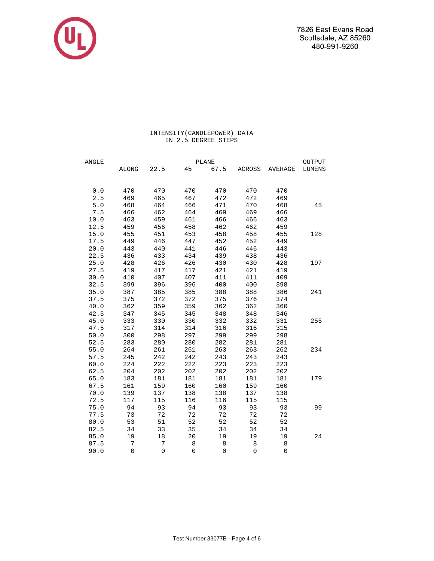7826 East Evans Road Scottsdale, AZ 85260 480-991-9260



# INTENSITY(CANDLEPOWER) DATA IN 2.5 DEGREE STEPS

| ANGLE | <b>PLANE</b> |                     |             |                     |                     |                     |        |  |  |
|-------|--------------|---------------------|-------------|---------------------|---------------------|---------------------|--------|--|--|
|       | ALONG        | 22.5                | 45          | 67.5                | ACROSS              | AVERAGE             | LUMENS |  |  |
|       |              |                     |             |                     |                     |                     |        |  |  |
| 0.0   | 470          | 470                 | 470         | 470                 | 470                 | 470                 |        |  |  |
| 2.5   | 469          | 465                 | 467         | 472                 | 472                 | 469                 |        |  |  |
| $5.0$ | 468          | 464                 | 466         | 471                 | 470                 | 468                 | 45     |  |  |
| 7.5   | 466          | 462                 | 464         | 469                 | 469                 | 466                 |        |  |  |
| 10.0  | 463          | 459                 | 461         | 466                 | 466                 | 463                 |        |  |  |
| 12.5  | 459          | 456                 | 458         | 462                 | 462                 | 459                 |        |  |  |
| 15.0  | 455          | 451                 | 453         | 458                 | 458                 | 455                 | 128    |  |  |
| 17.5  | 449          | 446                 | 447         | 452                 | 452                 | 449                 |        |  |  |
| 20.0  | 443          | 440                 | 441         | 446                 | 446                 | 443                 |        |  |  |
| 22.5  | 436          | 433                 | 434         | 439                 | 438                 | 436                 |        |  |  |
| 25.0  | 428          | 426                 | 426         | 430                 | 430                 | 428                 | 197    |  |  |
| 27.5  | 419          | 417                 | 417         | 421                 | 421                 | 419                 |        |  |  |
| 30.0  | 410          | 407                 | 407         | 411                 | 411                 | 409                 |        |  |  |
| 32.5  | 399          | 396                 | 396         | 400                 | 400                 | 398                 |        |  |  |
| 35.0  | 387          | 385                 | 385         | 388                 | 388                 | 386                 | 241    |  |  |
| 37.5  | 375          | 372                 | 372         | 375                 | 376                 | 374                 |        |  |  |
| 40.0  | 362          | 359                 | 359         | 362                 | 362                 | 360                 |        |  |  |
| 42.5  | 347          | 345                 | 345         | 348                 | 348                 | 346                 |        |  |  |
| 45.0  | 333          | 330                 | 330         | 332                 | 332                 | 331                 | 255    |  |  |
| 47.5  | 317          | 314                 | 314         | 316                 | 316                 | 315                 |        |  |  |
| 50.0  | 300          | 298                 | 297         | 299                 | 299                 | 298                 |        |  |  |
| 52.5  | 283          | 280                 | 280         | 282                 | 281                 | 281                 |        |  |  |
| 55.0  | 264          | 261                 | 261         | 263                 | 263                 | 262                 | 234    |  |  |
| 57.5  | 245          | 242                 | 242         | 243                 | 243                 | 243                 |        |  |  |
| 60.0  | 224          | 222                 | 222         | 223                 | 223                 | 223                 |        |  |  |
| 62.5  | 204          | 202                 | 202         | 202                 | 202                 | 202                 |        |  |  |
| 65.0  | 183          | 181                 | 181         | 181                 | 181                 | 181                 | 179    |  |  |
| 67.5  | 161          | 159                 | 160         | 160                 | 159                 | 160                 |        |  |  |
| 70.0  | 139          | 137                 | 138         | 138                 | 137                 | 138                 |        |  |  |
| 72.5  | 117          | 115                 | 116         | 116                 | 115                 | 115                 |        |  |  |
| 75.0  | 94           | 93                  | 94          | 93                  | 93                  | 93                  | 99     |  |  |
| 77.5  | 73           | 72                  | 72          | 72                  | 72                  | 72                  |        |  |  |
| 80.0  | 53           | 51                  | 52          | 52                  | 52                  | 52                  |        |  |  |
| 82.5  | 34           | 33                  | 35          | 34                  | 34                  | 34                  |        |  |  |
| 85.0  | 19           | $18\,$              | 20          | 19                  | 19                  | 19                  | 24     |  |  |
| 87.5  | $\sqrt{ }$   | $\sqrt{ }$          | 8           | 8                   | $\,8\,$             | $\,8\,$             |        |  |  |
| 90.0  | $\mathsf 0$  | $\mathsf{O}\xspace$ | $\mathbf 0$ | $\mathsf{O}\xspace$ | $\mathsf{O}\xspace$ | $\mathsf{O}\xspace$ |        |  |  |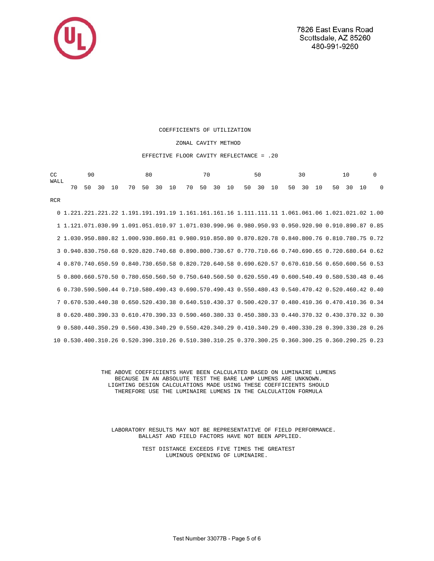

RCR

#### COEFFICIENTS OF UTILIZATION

### ZONAL CAVITY METHOD

#### EFFECTIVE FLOOR CAVITY REFLECTANCE = .20

| WALL | $CC$ 90 |  |  | 80 70 50 30 10 0 |  |  |  |  |  |  |  |  |  |  |  |  |  |  |  |
|------|---------|--|--|------------------|--|--|--|--|--|--|--|--|--|--|--|--|--|--|--|
|      |         |  |  |                  |  |  |  |  |  |  |  |  |  |  |  |  |  |  |  |

 0 1.221.221.221.22 1.191.191.191.19 1.161.161.161.16 1.111.111.11 1.061.061.06 1.021.021.02 1.00 1 1.121.071.030.99 1.091.051.010.97 1.071.030.990.96 0.980.950.93 0.950.920.90 0.910.890.87 0.85 2 1.030.950.880.82 1.000.930.860.81 0.980.910.850.80 0.870.820.78 0.840.800.76 0.810.780.75 0.72 3 0.940.830.750.68 0.920.820.740.68 0.890.800.730.67 0.770.710.66 0.740.690.65 0.720.680.64 0.62 4 0.870.740.650.59 0.840.730.650.58 0.820.720.640.58 0.690.620.57 0.670.610.56 0.650.600.56 0.53 5 0.800.660.570.50 0.780.650.560.50 0.750.640.560.50 0.620.550.49 0.600.540.49 0.580.530.48 0.46 6 0.730.590.500.44 0.710.580.490.43 0.690.570.490.43 0.550.480.43 0.540.470.42 0.520.460.42 0.40 7 0.670.530.440.38 0.650.520.430.38 0.640.510.430.37 0.500.420.37 0.480.410.36 0.470.410.36 0.34 8 0.620.480.390.33 0.610.470.390.33 0.590.460.380.33 0.450.380.33 0.440.370.32 0.430.370.32 0.30 9 0.580.440.350.29 0.560.430.340.29 0.550.420.340.29 0.410.340.29 0.400.330.28 0.390.330.28 0.26 10 0.530.400.310.26 0.520.390.310.26 0.510.380.310.25 0.370.300.25 0.360.300.25 0.360.290.25 0.23

> THE ABOVE COEFFICIENTS HAVE BEEN CALCULATED BASED ON LUMINAIRE LUMENS BECAUSE IN AN ABSOLUTE TEST THE BARE LAMP LUMENS ARE UNKNOWN. LIGHTING DESIGN CALCULATIONS MADE USING THESE COEFFICIENTS SHOULD THEREFORE USE THE LUMINAIRE LUMENS IN THE CALCULATION FORMULA

 LABORATORY RESULTS MAY NOT BE REPRESENTATIVE OF FIELD PERFORMANCE. BALLAST AND FIELD FACTORS HAVE NOT BEEN APPLIED.

> TEST DISTANCE EXCEEDS FIVE TIMES THE GREATEST LUMINOUS OPENING OF LUMINAIRE.